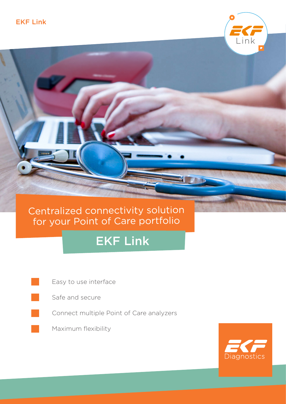## Centralized connectivity solution for your Point of Care portfolio

# EKF Link

Easy to use interface



Connect multiple Point of Care analyzers





Link